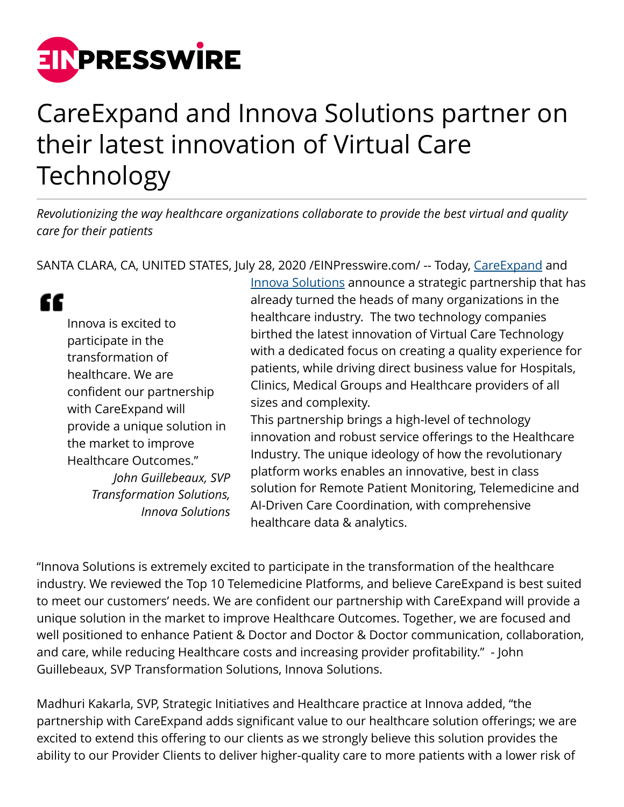

## CareExpand and Innova Solutions partner on their latest innovation of Virtual Care Technology

*Revolutionizing the way healthcare organizations collaborate to provide the best virtual and quality care for their patients*

SANTA CLARA, CA, UNITED STATES, July 28, 2020 [/EINPresswire.com](http://www.einpresswire.com)/ -- Today, [CareExpand](https://www.careexpand.com/) and

" Innova is excited to participate in the transformation of healthcare. We are confident our partnership with CareExpand will provide a unique solution in the market to improve Healthcare Outcomes." *John Guillebeaux, SVP Transformation Solutions, Innova Solutions* [Innova Solutions](https://www.innovasolutions.com/) announce a strategic partnership that has already turned the heads of many organizations in the healthcare industry. The two technology companies birthed the latest innovation of Virtual Care Technology with a dedicated focus on creating a quality experience for patients, while driving direct business value for Hospitals, Clinics, Medical Groups and Healthcare providers of all sizes and complexity.

This partnership brings a high-level of technology innovation and robust service offerings to the Healthcare Industry. The unique ideology of how the revolutionary platform works enables an innovative, best in class solution for Remote Patient Monitoring, Telemedicine and AI-Driven Care Coordination, with comprehensive healthcare data & analytics.

"Innova Solutions is extremely excited to participate in the transformation of the healthcare industry. We reviewed the Top 10 Telemedicine Platforms, and believe CareExpand is best suited to meet our customers' needs. We are confident our partnership with CareExpand will provide a unique solution in the market to improve Healthcare Outcomes. Together, we are focused and well positioned to enhance Patient & Doctor and Doctor & Doctor communication, collaboration, and care, while reducing Healthcare costs and increasing provider profitability." - John Guillebeaux, SVP Transformation Solutions, Innova Solutions.

Madhuri Kakarla, SVP, Strategic Initiatives and Healthcare practice at Innova added, "the partnership with CareExpand adds significant value to our healthcare solution offerings; we are excited to extend this offering to our clients as we strongly believe this solution provides the ability to our Provider Clients to deliver higher-quality care to more patients with a lower risk of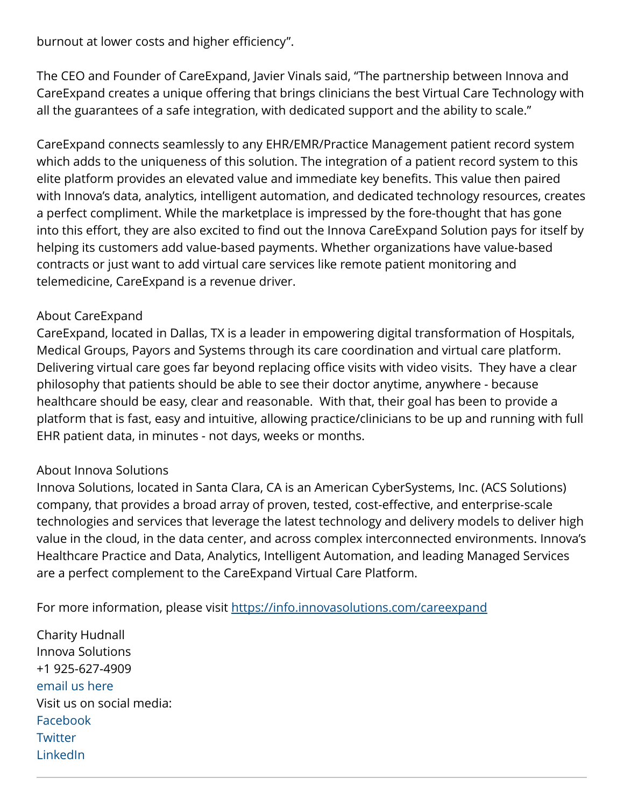burnout at lower costs and higher efficiency".

The CEO and Founder of CareExpand, Javier Vinals said, "The partnership between Innova and CareExpand creates a unique offering that brings clinicians the best Virtual Care Technology with all the guarantees of a safe integration, with dedicated support and the ability to scale."

CareExpand connects seamlessly to any EHR/EMR/Practice Management patient record system which adds to the uniqueness of this solution. The integration of a patient record system to this elite platform provides an elevated value and immediate key benefits. This value then paired with Innova's data, analytics, intelligent automation, and dedicated technology resources, creates a perfect compliment. While the marketplace is impressed by the fore-thought that has gone into this effort, they are also excited to find out the Innova CareExpand Solution pays for itself by helping its customers add value-based payments. Whether organizations have value-based contracts or just want to add virtual care services like remote patient monitoring and telemedicine, CareExpand is a revenue driver.

## About CareExpand

CareExpand, located in Dallas, TX is a leader in empowering digital transformation of Hospitals, Medical Groups, Payors and Systems through its care coordination and virtual care platform. Delivering virtual care goes far beyond replacing office visits with video visits. They have a clear philosophy that patients should be able to see their doctor anytime, anywhere - because healthcare should be easy, clear and reasonable. With that, their goal has been to provide a platform that is fast, easy and intuitive, allowing practice/clinicians to be up and running with full EHR patient data, in minutes - not days, weeks or months.

## About Innova Solutions

Innova Solutions, located in Santa Clara, CA is an American CyberSystems, Inc. (ACS Solutions) company, that provides a broad array of proven, tested, cost-effective, and enterprise-scale technologies and services that leverage the latest technology and delivery models to deliver high value in the cloud, in the data center, and across complex interconnected environments. Innova's Healthcare Practice and Data, Analytics, Intelligent Automation, and leading Managed Services are a perfect complement to the CareExpand Virtual Care Platform.

For more information, please visit<https://info.innovasolutions.com/careexpand>

Charity Hudnall Innova Solutions +1 925-627-4909 [email us here](http://www.einpresswire.com/contact_author/2892532) Visit us on social media: [Facebook](https://www.facebook.com/innovasolutionsinc/) **[Twitter](https://twitter.com/innovasolutions)** [LinkedIn](https://www.linkedin.com/company/innovasolutions-usa/)